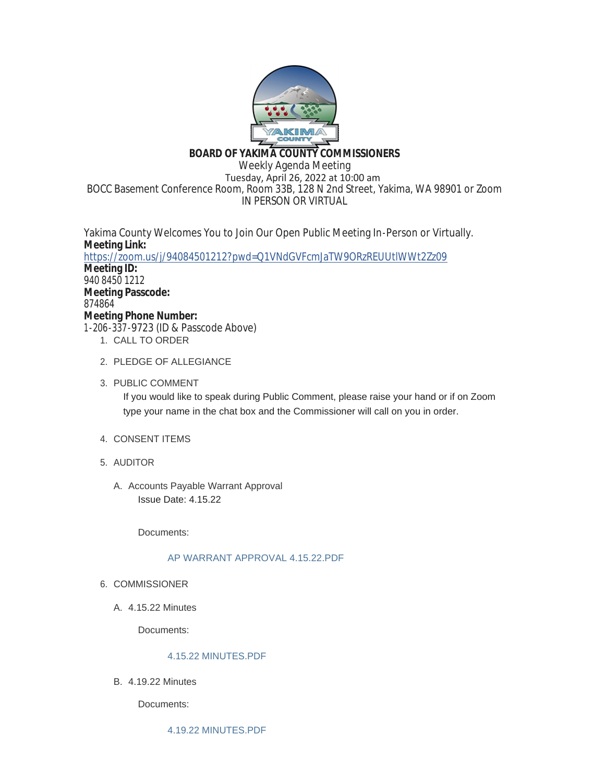

# **BOARD OF YAKIMA COUNTY COMMISSIONERS**

Weekly Agenda Meeting Tuesday, April 26, 2022 at 10:00 am BOCC Basement Conference Room, Room 33B, 128 N 2nd Street, Yakima, WA 98901 or Zoom IN PERSON OR VIRTUAL

Yakima County Welcomes You to Join Our Open Public Meeting In-Person or Virtually. **Meeting Link:** <https://zoom.us/j/94084501212?pwd=Q1VNdGVFcmJaTW9ORzREUUtlWWt2Zz09> **Meeting ID:** 940 8450 1212 **Meeting Passcode:** 874864 **Meeting Phone Number:** 1-206-337-9723 (ID & Passcode Above) 1. CALL TO ORDER

- 
- 2. PLEDGE OF ALLEGIANCE
- 3. PUBLIC COMMENT

If you would like to speak during Public Comment, please raise your hand or if on Zoom type your name in the chat box and the Commissioner will call on you in order.

- 4. CONSENT ITEMS
- AUDITOR 5.
	- A. Accounts Payable Warrant Approval Issue Date: 4.15.22

Documents:

## [AP WARRANT APPROVAL 4.15.22.PDF](https://www.yakimacounty.us/AgendaCenter/ViewFile/Item/4280?fileID=16103)

- 6. COMMISSIONER
	- 4.15.22 Minutes A.

Documents:

## [4.15.22 MINUTES.PDF](https://www.yakimacounty.us/AgendaCenter/ViewFile/Item/4278?fileID=16101)

4.19.22 Minutes B.

Documents: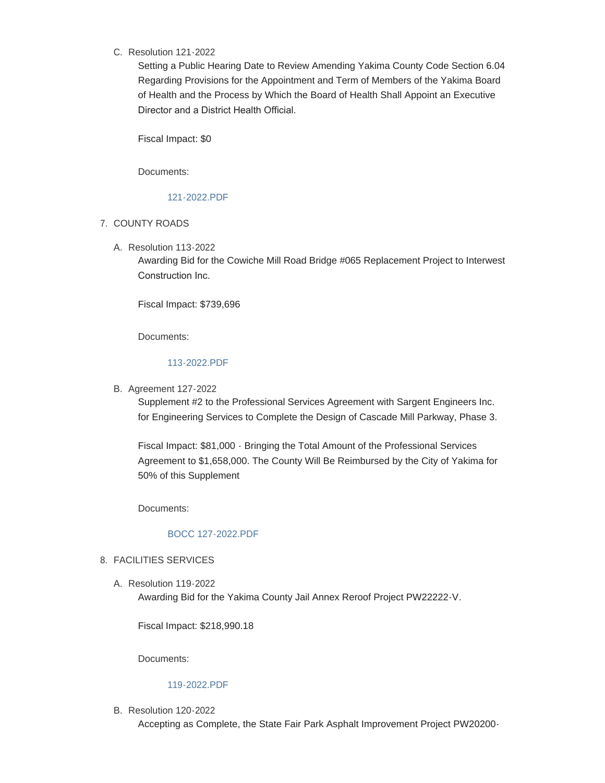## C. Resolution 121-2022

Setting a Public Hearing Date to Review Amending Yakima County Code Section 6.04 Regarding Provisions for the Appointment and Term of Members of the Yakima Board of Health and the Process by Which the Board of Health Shall Appoint an Executive Director and a District Health Official.

Fiscal Impact: \$0

Documents:

## [121-2022.PDF](https://www.yakimacounty.us/AgendaCenter/ViewFile/Item/4291?fileID=16114)

- 7. COUNTY ROADS
	- Resolution 113-2022 A.

Awarding Bid for the Cowiche Mill Road Bridge #065 Replacement Project to Interwest Construction Inc.

Fiscal Impact: \$739,696

Documents:

## [113-2022.PDF](https://www.yakimacounty.us/AgendaCenter/ViewFile/Item/4282?fileID=16105)

B. Agreement 127-2022

Supplement #2 to the Professional Services Agreement with Sargent Engineers Inc. for Engineering Services to Complete the Design of Cascade Mill Parkway, Phase 3.

Fiscal Impact: \$81,000 - Bringing the Total Amount of the Professional Services Agreement to \$1,658,000. The County Will Be Reimbursed by the City of Yakima for 50% of this Supplement

Documents:

# [BOCC 127-2022.PDF](https://www.yakimacounty.us/AgendaCenter/ViewFile/Item/4286?fileID=16109)

## FACILITIES SERVICES 8.

Resolution 119-2022 A. Awarding Bid for the Yakima County Jail Annex Reroof Project PW22222-V.

Fiscal Impact: \$218,990.18

Documents:

## [119-2022.PDF](https://www.yakimacounty.us/AgendaCenter/ViewFile/Item/4287?fileID=16110)

B. Resolution 120-2022

Accepting as Complete, the State Fair Park Asphalt Improvement Project PW20200-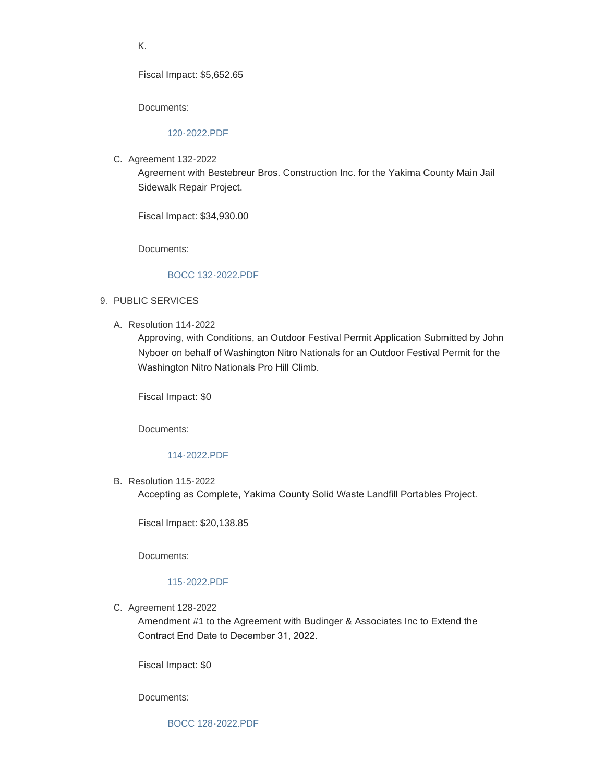K.

Fiscal Impact: \$5,652.65

Documents:

### [120-2022.PDF](https://www.yakimacounty.us/AgendaCenter/ViewFile/Item/4289?fileID=16112)

C. Agreement 132-2022

Agreement with Bestebreur Bros. Construction Inc. for the Yakima County Main Jail Sidewalk Repair Project.

Fiscal Impact: \$34,930.00

Documents:

## [BOCC 132-2022.PDF](https://www.yakimacounty.us/AgendaCenter/ViewFile/Item/4292?fileID=16115)

- 9. PUBLIC SERVICES
	- Resolution 114-2022 A.

Approving, with Conditions, an Outdoor Festival Permit Application Submitted by John Nyboer on behalf of Washington Nitro Nationals for an Outdoor Festival Permit for the Washington Nitro Nationals Pro Hill Climb.

Fiscal Impact: \$0

Documents:

#### [114-2022.PDF](https://www.yakimacounty.us/AgendaCenter/ViewFile/Item/4283?fileID=16106)

B. Resolution 115-2022

Accepting as Complete, Yakima County Solid Waste Landfill Portables Project.

Fiscal Impact: \$20,138.85

Documents:

#### [115-2022.PDF](https://www.yakimacounty.us/AgendaCenter/ViewFile/Item/4285?fileID=16108)

C. Agreement 128-2022

Amendment #1 to the Agreement with Budinger & Associates Inc to Extend the Contract End Date to December 31, 2022.

Fiscal Impact: \$0

Documents: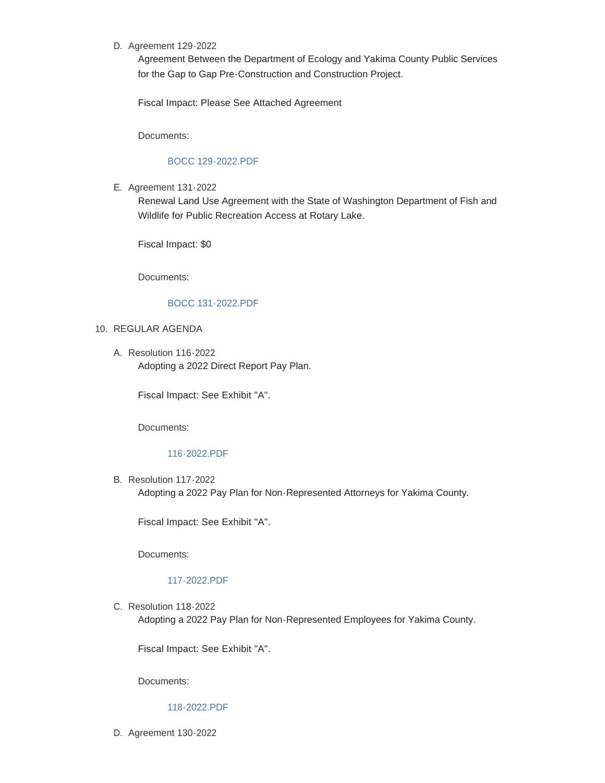## D. Agreement 129-2022

Agreement Between the Department of Ecology and Yakima County Public Services for the Gap to Gap Pre-Construction and Construction Project.

Fiscal Impact: Please See Attached Agreement

Documents:

### [BOCC 129-2022.PDF](https://www.yakimacounty.us/AgendaCenter/ViewFile/Item/4290?fileID=16113)

E. Agreement 131-2022

Renewal Land Use Agreement with the State of Washington Department of Fish and Wildlife for Public Recreation Access at Rotary Lake.

Fiscal Impact: \$0

Documents:

### [BOCC 131-2022.PDF](https://www.yakimacounty.us/AgendaCenter/ViewFile/Item/4294?fileID=16117)

### 10. REGULAR AGENDA

Resolution 116-2022 A. Adopting a 2022 Direct Report Pay Plan.

Fiscal Impact: See Exhibit "A".

Documents:

### [116-2022.PDF](https://www.yakimacounty.us/AgendaCenter/ViewFile/Item/4279?fileID=16102)

B. Resolution 117-2022 Adopting a 2022 Pay Plan for Non-Represented Attorneys for Yakima County.

Fiscal Impact: See Exhibit "A".

Documents:

#### [117-2022.PDF](https://www.yakimacounty.us/AgendaCenter/ViewFile/Item/4281?fileID=16119)

C. Resolution 118-2022

Adopting a 2022 Pay Plan for Non-Represented Employees for Yakima County.

Fiscal Impact: See Exhibit "A".

Documents:

## [118-2022.PDF](https://www.yakimacounty.us/AgendaCenter/ViewFile/Item/4284?fileID=16120)

D. Agreement 130-2022